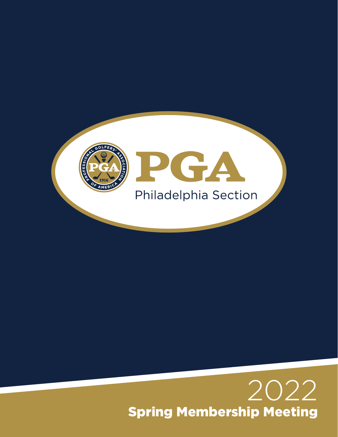

# 2022 Spring Membership Meeting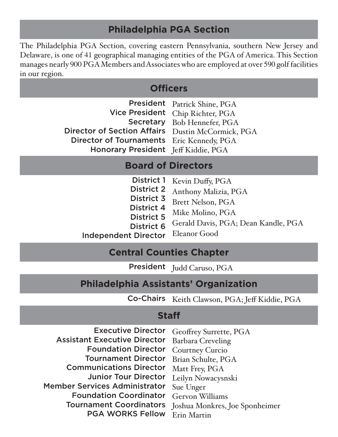# **Philadelphia PGA Section**

The Philadelphia PGA Section, covering eastern Pennsylvania, southern New Jersey and Delaware, is one of 41 geographical managing entities of the PGA of America. This Section manages nearly 900 PGA Members and Associates who are employed at over 590 golf facilities in our region.

### **Officers**

|                                                   | President Patrick Shine, PGA     |
|---------------------------------------------------|----------------------------------|
|                                                   | Vice President Chip Richter, PGA |
|                                                   | Secretary Bob Hennefer, PGA      |
| Director of Section Affairs Dustin McCormick, PGA |                                  |
| Director of Tournaments Eric Kennedy, PGA         |                                  |
| Honorary President Jeff Kiddie, PGA               |                                  |

### **Board of Directors**

|                             | District 1 Kevin Duffy, PGA         |
|-----------------------------|-------------------------------------|
| <b>District 2</b>           | Anthony Malizia, PGA                |
| District 3                  | Brett Nelson, PGA                   |
| <b>District 4</b>           | Mike Molino, PGA                    |
| <b>District 5</b>           | Gerald Davis, PGA; Dean Kandle, PGA |
| <b>District 6</b>           |                                     |
| <b>Independent Director</b> | Eleanor Good                        |

### **Central Counties Chapter**

President Judd Caruso, PGA

# **Philadelphia Assistants' Organization**

Co-Chairs Keith Clawson, PGA; Jeff Kiddie, PGA

### **Staff**

| <b>Executive Director</b><br>Geoffrey Surrette, PGA             |  |
|-----------------------------------------------------------------|--|
| <b>Assistant Executive Director</b><br><b>Barbara Creveling</b> |  |
| <b>Courtney Curcio</b>                                          |  |
| Brian Schulte, PGA                                              |  |
| Matt Frey, PGA                                                  |  |
| Leilyn Nowacysnski                                              |  |
| Sue Unger                                                       |  |
| Gervon Williams                                                 |  |
| Joshua Monkres, Joe Sponheimer                                  |  |
| Erin Martin                                                     |  |
|                                                                 |  |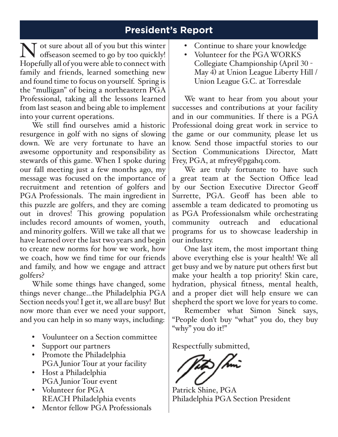# **President's Report**

N of sure about all of you but this winter<br>Hopefully all of you were able to connect with offseason seemed to go by too quickly! Hopefully all of you were able to connect with family and friends, learned something new and found time to focus on yourself. Spring is the "mulligan" of being a northeastern PGA Professional, taking all the lessons learned from last season and being able to implement into your current operations.

We still find ourselves amid a historic resurgence in golf with no signs of slowing down. We are very fortunate to have an awesome opportunity and responsibility as stewards of this game. When I spoke during our fall meeting just a few months ago, my message was focused on the importance of recruitment and retention of golfers and PGA Professionals. The main ingredient in this puzzle are golfers, and they are coming out in droves! This growing population includes record amounts of women, youth, and minority golfers. Will we take all that we have learned over the last two years and begin to create new norms for how we work, how we coach, how we find time for our friends and family, and how we engage and attract golfers?

While some things have changed, some things never change…the Philadelphia PGA Section needs you! I get it, we all are busy! But now more than ever we need your support, and you can help in so many ways, including:

- Voulunteer on a Section committee
- Support our partners
- Promote the Philadelphia PGA Junior Tour at your facility
- Host a Philadelphia PGA Junior Tour event
- Volunteer for PGA REACH Philadelphia events
- Mentor fellow PGA Professionals
- Continue to share your knowledge
- Volunteer for the PGA WORKS Collegiate Championship (April 30 - May 4) at Union League Liberty Hill / Union League G.C. at Torresdale

We want to hear from you about your successes and contributions at your facility and in our communities. If there is a PGA Professional doing great work in service to the game or our community, please let us know. Send those impactful stories to our Section Communications Director, Matt Frey, PGA, at mfrey@pgahq.com.

We are truly fortunate to have such a great team at the Section Office lead by our Section Executive Director Geoff Surrette, PGA. Geoff has been able to assemble a team dedicated to promoting us as PGA Professionalsm while orchestrating community outreach and educational programs for us to showcase leadership in our industry.

One last item, the most important thing above everything else is your health! We all get busy and we by nature put others first but make your health a top priority! Skin care, hydration, physical fitness, mental health, and a proper diet will help ensure we can shepherd the sport we love for years to come.

Remember what Simon Sinek says, "People don't buy "what" you do, they buy "why" you do it!"

Respectfully submitted,

Patrick Shine, PGA Philadelphia PGA Section President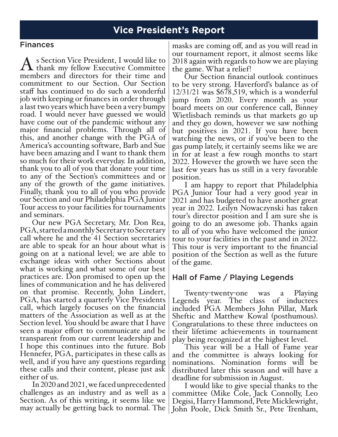### **Vice President's Report**

#### Finances

As Section Vice President, I would like to thank my fellow Executive Committee members and directors for their time and commitment to our Section. Our Section staff has continued to do such a wonderful job with keeping or finances in order through a last two years which have been a very bumpy road. I would never have guessed we would have come out of the pandemic without any major financial problems. Through all of this, and another change with the PGA of America's accounting software, Barb and Sue have been amazing and I want to thank them so much for their work everyday. In addition, thank you to all of you that donate your time to any of the Section's committees and or any of the growth of the game initiatives. Finally, thank you to all of you who provide our Section and our Philadelphia PGA Junior Tour access to your facilities for tournaments and seminars.

Our new PGA Secretary, Mr. Don Rea, PGA, started a monthly Secretary to Secretary call where he and the 41 Section secretaries are able to speak for an hour about what is going on at a national level; we are able to exchange ideas with other Sections about what is working and what some of our best practices are. Don promised to open up the lines of communication and he has delivered on that promise. Recently, John Lindert, PGA, has started a quarterly Vice Presidents call, which largely focuses on the financial matters of the Association as well as at the Section level. You should be aware that I have seen a major effort to communicate and be transparent from our current leadership and I hope this continues into the future. Bob Hennefer, PGA, participates in these calls as well, and if you have any questions regarding these calls and their content, please just ask either of us.

In 2020 and 2021, we faced unprecedented challenges as an industry and as well as a Section. As of this writing, it seems like we may actually be getting back to normal. The

masks are coming off, and as you will read in our tournament report, it almost seems like 2018 again with regards to how we are playing the game. What a relief!

Our Section financial outlook continues to be very strong. Haverford's balance as of 12/31/21 was \$678,519, which is a wonderful jump from 2020. Every month as your board meets on our conference call, Binney Wietlisbach reminds us that markets go up and they go down, however we saw nothing but positives in 2021. If you have been watching the news, or if you've been to the gas pump lately, it certainly seems like we are in for at least a few rough months to start 2022. However the growth we have seen the last few years has us still in a very favorable position.

I am happy to report that Philadelphia PGA Junior Tour had a very good year in 2021 and has budgeted to have another great year in <sup>2022</sup>. Leilyn Nowaczynski has taken tour's director position and I am sure she is going to do an awesome job. Thanks again to all of you who have welcomed the junior tour to your facilities in the past and in 2022. This tour is very important to the financial position of the Section as well as the future of the game.

#### Hall of Fame / Playing Legends

Twenty-twenty-one was a Playing Legends year. The class of inductees included PGA Members John Pillar, Mark Sheftic and Matthew Kowal (posthumous). Congratulations to these three inductees on their lifetime achievements in tournament

play being recognized at the highest level. This year will be a Hall of Fame year and the committee is always looking for nominations. Nomination forms will be distributed later this season and will have a deadline for submission in August.

I would like to give special thanks to the committee (Mike Cole, Jack Connolly, Leo Degisi, Harry Hammond, Pete Micklewright, John Poole, Dick Smith Sr., Pete Trenham,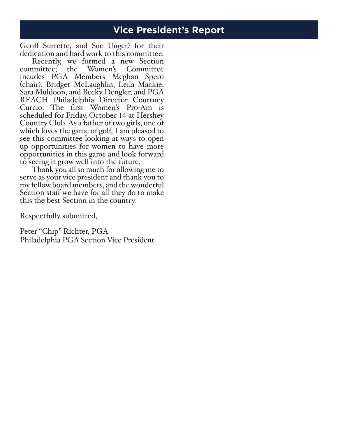# **Vice President's Report**

Geoff Surrette, and Sue Unger) for their dedication and hard work to this committee.

Recently, we formed a new Section committee; the Women's Committee incudes PGA Members Meghan Spero (chair), Bridget McLaughlin, Leila Mackie, Sara Muldoon, and Becky Dengler, and PGA REACH Philadelphia Director Courtney Curcio. The first Women's Pro-Am is scheduled for Friday, October 14 at Hershey Country Club. As a father of two girls, one of which loves the game of golf, I am pleased to see this committee looking at ways to open up opportunities for women to have more opportunities in this game and look forward

Thank you all so much for allowing me to<br>serve as your vice president and thank you to my fellow board members, and the wonderful Section staff we have for all they do to make this the best Section in the country.

Respectfully submitted,

Peter "Chip" Richter, PGA Philadelphia PGA Section Vice President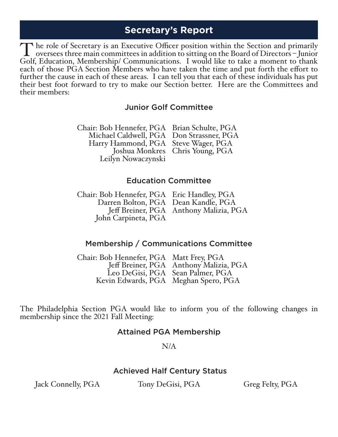### **Secretary's Report**

The role of Secretary is an Executive Officer position within the Section and primarily<br>oversees three main committees in addition to sitting on the Board of Directors – Junior<br>Golf Education Membership/Communications I wo Golf, Education, Membership/ Communications. I would like to take a moment to thank each of those PGA Section Members who have taken the time and put forth the effort to further the cause in each of these areas. I can tell you that each of these individuals has put their best foot forward to try to make our Section better. Here are the Committees and their members:

#### Junior Golf Committee

Chair: Bob Hennefer, PGA Brian Schulte, PGA Michael Caldwell, PGA Don Strassner, PGA Harry Hammond, PGA Steve Wager, PGA Joshua Monkres Chris Young, PGA Leilyn Nowaczynski

#### Education Committee

| Chair: Bob Hennefer, PGA Eric Handley, PGA |                                        |
|--------------------------------------------|----------------------------------------|
| Darren Bolton, PGA Dean Kandle, PGA        |                                        |
|                                            | Jeff Breiner, PGA Anthony Malizia, PGA |
| John Carpineta, PGA                        |                                        |
|                                            |                                        |

#### Membership / Communications Committee

Chair: Bob Hennefer, PGA Matt Frey, PGA Jeff Breiner, PGA Anthony Malizia, PGA Leo DeGisi, PGA Sean Palmer, PGA Kevin Edwards, PGA Meghan Spero, PGA

The Philadelphia Section PGA would like to inform you of the following changes in membership since the 2021 Fall Meeting:

#### Attained PGA Membership

#### N/A

#### Achieved Half Century Status

Jack Connelly, PGA Tony DeGisi, PGA Greg Felty, PGA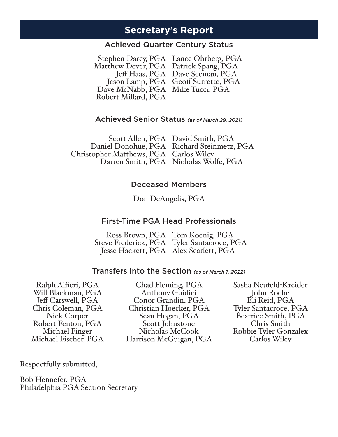### **Secretary's Report**

#### Achieved Quarter Century Status

Stephen Darcy, PGA Lance Ohrberg, PGA Matthew Dever, PGA Patrick Spang, PGA Jeff Haas, PGA Dave Seeman, PGA Jason Lamp, PGA Geoff Surrette, PGA Dave McNabb, PGA Mike Tucci, PGA Robert Millard, PGA

#### Achieved Senior Status *(as of March 29, 2021)*

Scott Allen, PGA David Smith, PGA Daniel Donohue, PGA Richard Steinmetz, PGA Christopher Matthews, PGA Carlos Wiley Darren Smith, PGA Nicholas Wolfe, PGA

#### Deceased Members

Don DeAngelis, PGA

#### First-Time PGA Head Professionals

Ross Brown, PGA Tom Koenig, PGA Steve Frederick, PGA Tyler Santacroce, PGA Jesse Hackett, PGA Alex Scarlett, PGA

#### Transfers into the Section *(as of March 1, 2022)*

Ralph Alfieri, PGA Will Blackman, PGA Jeff Carswell, PGA Chris Coleman, PGA Nick Corper Robert Fenton, PGA Michael Fischer, PGA

Chad Fleming, PGA Anthony Guidici Conor Grandin, PGA Christian Hoecker, PGA Sean Hogan, PGA Scott Johnstone Nicholas McCook Harrison McGuigan, PGA

Sasha Neufeld-Kreider John Roche Eli Reid, PGA Tyler Santacroce, PGA Beatrice Smith, PGA Chris Smith Robbie Tyler-Gonzalex Carlos Wiley

Respectfully submitted,

Bob Hennefer, PGA Philadelphia PGA Section Secretary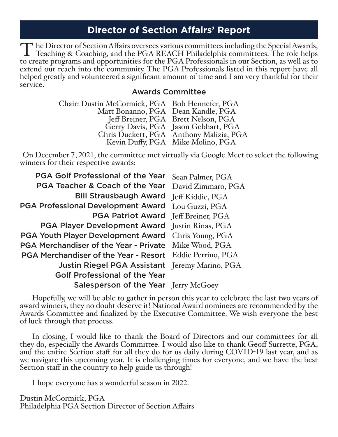# **Director of Section Affairs' Report**

The Director of Section Affairs oversees various committees including the Special Awards,<br>Teaching & Coaching, and the PGA REACH Philadelphia committees. The role helps<br>to create programs and opportunities for the PGA Prof to create programs and opportunities for the PGA Professionals in our Section, as well as to extend our reach into the community. The PGA Professionals listed in this report have all helped greatly and volunteered a significant amount of time and I am very thankful for their service.

#### Awards Committee

| Gerry Davis, PGA Jason Gebhart, PGA            |
|------------------------------------------------|
| Chris Duckett, PGA Anthony Malizia, PGA        |
|                                                |
| Chair: Dustin McCormick, PGA Bob Hennefer, PGA |

On December 7, 2021, the committee met virtually via Google Meet to select the following winners for their respective awards:

| PGA Teacher & Coach of the Year<br>David Zimmaro, PGA              |  |
|--------------------------------------------------------------------|--|
| <b>Bill Strausbaugh Award</b><br>Jeff Kiddie, PGA                  |  |
| <b>PGA Professional Development Award</b><br>Lou Guzzi, PGA        |  |
| <b>PGA Patriot Award</b><br>Jeff Breiner, PGA                      |  |
| <b>PGA Player Development Award</b><br>Justin Rinas, PGA           |  |
| <b>PGA Youth Player Development Award</b><br>Chris Young, PGA      |  |
| <b>PGA Merchandiser of the Year - Private</b><br>Mike Wood, PGA    |  |
| Eddie Perrino, PGA<br><b>PGA Merchandiser of the Year - Resort</b> |  |
| Justin Riegel PGA Assistant Jeremy Marino, PGA                     |  |
| <b>Golf Professional of the Year</b>                               |  |
| Salesperson of the Year Jerry McGoey                               |  |

Hopefully, we will be able to gather in person this year to celebrate the last two years of award winners, they no doubt deserve it! National Award nominees are recommended by the Awards Committee and finalized by the Executive Committee. We wish everyone the best of luck through that process.

In closing, I would like to thank the Board of Directors and our committees for all they do, especially the Awards Committee. I would also like to thank Geoff Surrette, PGA, and the entire Section staff for all they do for us daily during COVID-<sup>19</sup> last year, and as we navigate this upcoming year. It is challenging times for everyone, and we have the best Section staff in the country to help guide us through!

I hope everyone has a wonderful season in 2022.

Dustin McCormick, PGA Philadelphia PGA Section Director of Section Affairs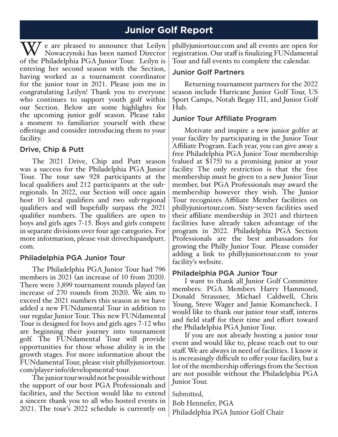# **Junior Golf Report**

 $\sqrt{ }$  e are pleased to announce that Leilyn Nowaczynski has been named Director of the Philadelphia PGA Junior Tour. Leilyn is entering her second season with the Section, having worked as a tournament coordinator for the junior tour in 2021. Please join me in congratulating Leilyn! Thank you to everyone who continues to support youth golf within our Section. Below are some highlights for the upcoming junior golf season. Please take a moment to familiarize yourself with these offerings and consider introducing them to your facility.

#### Drive, Chip & Putt

The 2021 Drive, Chip and Putt season was a success for the Philadelphia PGA Junior Tour. The tour saw 928 participants at the local qualifiers and 212 participants at the subregionals. In 2022, our Section will once again host 10 local qualifiers and two sub-regional qualifiers and will hopefully surpass the 2021 qualifier numbers. The qualifiers are open to boys and girls ages 7-15. Boys and girls compete in separate divisions over four age categories. For more information, please visit drivechipandputt. com.

#### Philadelphia PGA Junior Tour

The Philadelphia PGA Junior Tour had 796 members in 2021 (an increase of 10 from 2020). There were 3,899 tournament rounds played (an increase of 270 rounds from 2020). We aim to exceed the 2021 numbers this season as we have added a new FUNdamental Tour in addition to our regular Junior Tour. This new FUNdamental Tour is designed for boys and girls ages 7-12 who are beginning their journey into tournament golf. The FUNdamental Tour will provide opportunities for those whose ability is in the growth stages. For more information about the FUNdamental Tour, please visit phillyjuniortour. com/player-info/developmental-tour.

The junior tour would not be possible without the support of our host PGA Professionals and facilities, and the Section would like to extend a sincere thank you to all who hosted events in 2021. The tour's 2022 schedule is currently on

phillyjuniortour.com and all events are open for registration. Our staff is finalizing FUNdamental Tour and fall events to complete the calendar.

#### Junior Golf Partners

Returning tournament partners for the 2022 season include Hurricane Junior Golf Tour, US Sport Camps, Notah Begay III, and Junior Golf Hub.

#### Junior Tour Affiliate Program

Motivate and inspire a new junior golfer at your facility by participating in the Junior Tour Affiliate Program. Each year, you can give away a free Philadelphia PGA Junior Tour membership (valued at \$175) to a promising junior at your facility. The only restriction is that the free membership must be given to a new Junior Tour member, but PGA Professionals may award the membership however they wish. The Junior Tour recognizes Affiliate Member facilities on phillyjuniortour.com. Sixty-seven facilities used their affiliate membership in 2021 and thirteen facilities have already taken advantage of the program in 2022. Philadelphia PGA Section Professionals are the best ambassadors for growing the Philly Junior Tour. Please consider adding a link to phillyjuniortour.com to your facility's website.

#### Philadelphia PGA Junior Tour

I want to thank all Junior Golf Committee members: PGA Members Harry Hammond, Donald Strassner, Michael Caldwell, Chris Young, Steve Wager and Jamie Komancheck. I would like to thank our junior tour staff, interns and field staff for their time and effort toward the Philadelphia PGA Junior Tour.

If you are not already hosting a junior tour event and would like to, please reach out to our staff. We are always in need of facilities. I know it is increasingly difficult to offer your facility, but a lot of the membership offerings from the Section are not possible without the Philadelphia PGA Junior Tour.

Submitted, Bob Hennefer, PGA Philadelphia PGA Junior Golf Chair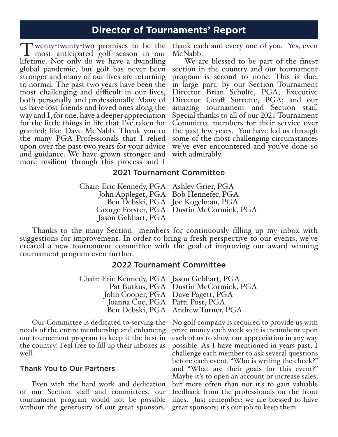### **Director of Tournaments' Report**

T wenty-twenty-two promises to be the<br>most anticipated golf season in our<br>lifetime. Not only do we have a dwindling lifetime. Not only do we have a dwindling global pandemic, but golf has never been stronger and many of our lives are returning to normal. The past two years have been the most challenging and difficult in our lives, both personally and professionally. Many of us have lost friends and loved ones along the way and I, for one, have a deeper appreciation for the little things in life that I've taken for granted; like Dave McNabb. Thank you to the many PGA Professionals that I relied upon over the past two years for your advice and guidance. We have grown stronger and more resilient through this process and I thank each and every one of you. Yes, even McNabb.

We are blessed to be part of the finest section in the country and our tournament program is second to none. This is due, in large part, by our Section Tournament Director Brian Schulte, PGA; Executive Director Geoff Surrette, PGA; and our amazing tournament and Section staff. Special thanks to all of our 2021 Tournament Committee members for their service over the past few years. You have led us through some of the most challenging circumstances we've ever encountered and you've done so with admirably.

#### 2021 Tournament Committee

Chair: Eric Kennedy, PGA John Appleget, PGA Ben Debski, PGA George Forster, PGA Dustin McCormick, PGA Jason Gebhart, PGA Chair: Eric Kennedy, PGA Ashley Grier, PGA Bob Hennefer, PGA Ben Debski, PGA Joe Kogelman, PGA

Thanks to the many Section members for continuously filling up my inbox with suggestions for improvement. In order to bring a fresh perspective to our events, we've created a new tournament committee with the goal of improving our award winning tournament program even further.

#### 2022 Tournament Committee

| Chair: Eric Kennedy, PGA Jason Gebhart, PGA |                                       |
|---------------------------------------------|---------------------------------------|
|                                             | Pat Butkus, PGA Dustin McCormick, PGA |
| John Cooper, PGA Dave Pagett, PGA           |                                       |
| Joanna Coe, PGA Patti Post, PGA             |                                       |
|                                             | Ben Debski, PGA Andrew Turner, PGA    |

Our Committee is dedicated to serving the needs of the entire membership and enhancing our tournament program to keep it the best in the country! Feel free to fill up their inboxes as well.

#### Thank You to Our Partners

Even with the hard work and dedication of our Section staff and committees, our tournament program would not be possible without the generosity of our great sponsors.

No golf company is required to provide us with prize money each week so it is incumbent upon each of us to show our appreciation in any way possible. As I have mentioned in years past, I challenge each member to ask several questions before each event. "Who is writing the check?" and "What are their goals for this event?" Maybe it's to open an account or increase sales, but more often than not it's to gain valuable feedback from the professionals on the front lines. Just remember: we are blessed to have great sponsors; it's our job to keep them.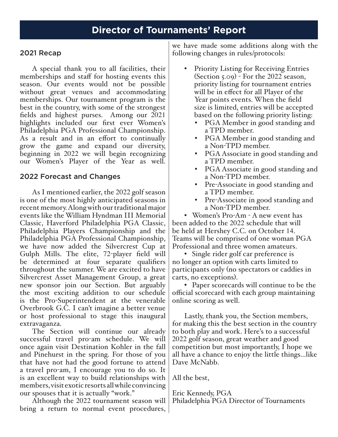#### 2021 Recap

A special thank you to all facilities, their memberships and staff for hosting events this season. Our events would not be possible without great venues and accommodating memberships. Our tournament program is the best in the country, with some of the strongest fields and highest purses. Among our 2021 highlights included our first ever Women's Philadelphia PGA Professional Championship. As a result and in an effort to continually grow the game and expand our diversity, beginning in 2022 we will begin recognizing our Women's Player of the Year as well.

#### 2022 Forecast and Changes

As I mentioned earlier, the 2022 golf season is one of the most highly anticipated seasons in recent memory. Along with our traditional major events like the William Hyndman III Memorial Classic, Haverford Philadelphia PGA Classic, Philadelphia Players Championship and the Philadelphia PGA Professional Championship, we have now added the Silvercrest Cup at Gulph Mills. The elite, 72-player field will be determined at four separate qualifiers throughout the summer. We are excited to have Silvercrest Asset Management Group, a great new sponsor join our Section. But arguably the most exciting addition to our schedule is the Pro-Superintendent at the venerable Overbrook G.C. I can't imagine a better venue or host professional to stage this inaugural extravaganza.

The Section will continue our already successful travel pro-am schedule. We will once again visit Destination Kohler in the fall and Pinehurst in the spring. For those of you that have not had the good fortune to attend a travel pro-am, I encourage you to do so. It is an excellent way to build relationships with members, visit exotic resorts all while convincing our spouses that it is actually "work."

Although the 2022 tournament season will bring a return to normal event procedures, we have made some additions along with the following changes in rules/protocols:

- **Priority Listing for Receiving Entries** (Section 5.09) - For the 2022 season, priority listing for tournament entries will be in effect for all Player of the Year points events. When the field size is limited, entries will be accepted based on the following priority listing:
	- PGA Member in good standing and a TPD member.
	- PGA Member in good standing and a Non-TPD member.
	- PGA Associate in good standing and a TPD member.
	- PGA Associate in good standing and a Non-TPD member.
	- Pre-Associate in good standing and a TPD member.
	- Pre-Associate in good standing and a Non-TPD member.

• Women's Pro-Am - A new event has been added to the 2022 schedule that will be held at Hershey C.C. on October 14. Teams will be comprised of one woman PGA Professional and three women amateurs.

• Single rider golf car preference is no longer an option with carts limited to participants only (no spectators or caddies in carts, no exceptions).

• Paper scorecards will continue to be the official scorecard with each group maintaining online scoring as well.

Lastly, thank you, the Section members, for making this the best section in the country to both play and work. Here's to a successful 2022 golf season, great weather and good competition but most importantly, I hope we all have a chance to enjoy the little things...like Dave McNabb.

All the best,

Eric Kennedy, PGA Philadelphia PGA Director of Tournaments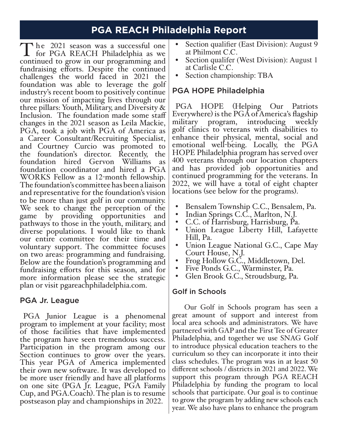# **PGA REACH Philadelphia Report**

The 2021 season was a successful one<br>for PGA REACH Philadelphia as we<br>continued to grow in our programming and continued to grow in our programming and fundraising efforts. Despite the continued challenges the world faced in 2021 the foundation was able to leverage the golf industry's recent boom to positively continue our mission of impacting lives through our three pillars: Youth, Military, and Diversity & Inclusion. The foundation made some staff changes in the 2021 season as Leila Mackie, PGA, took a job with PGA of America as a Career Consultant/Recruiting Specialist, and Courtney Curcio was promoted to the foundation's director. Recently, the foundation hired Gervon Williams as foundation coordinator and hired a PGA WORKS Fellow as a 12-month fellowship. The foundation's committee has been a liaison and representative for the foundation's vision to be more than just golf in our community. We seek to change the perception of the game by providing opportunities and pathways to those in the youth, military, and diverse populations. I would like to thank our entire committee for their time and voluntary support. The committee focuses on two areas: programming and fundraising. Below are the foundation's programming and fundraising efforts for this season, and for more information please see the strategic plan or visit pgareachphiladelphia.com.

#### PGA Jr. League

PGA Junior League is a phenomenal program to implement at your facility; most of those facilities that have implemented the program have seen tremendous success. Participation in the program among our Section continues to grow over the years. This year PGA of America implemented their own new software. It was developed to be more user friendly and have all platforms on one site (PGA Jr. League, PGA Family Cup, and PGA.Coach). The plan is to resume postseason play and championships in 2022.

- Section qualifier (East Division): August 9
- at Philmont C.C.<br>Section qualifer (West Division): August 1
- at Carlisle C.C.<br>Section championship: TBA

### PGA HOPE Philadelphia

PGA HOPE (Helping Our Patriots Everywhere) is the PGA of America's flagship military program, introducing weekly golf clinics to veterans with disabilities to enhance their physical, mental, social and emotional well-being. Locally, the PGA HOPE Philadelphia program has served over 400 veterans through our location chapters and has provided job opportunities and continued programming for the veterans. In <sup>2022</sup>, we will have a total of eight chapter locations (see below for the programs).

- 
- 
- 
- Bensalem Township C.C., Bensalem, Pa.<br>
Indian Springs C.C., Marlton, N.J.<br>
C.C. of Harrisburg, Harrisburg, Pa.<br>
Union League Liberty Hill, Lafayette<br>
Hill, Pa.
- Union League National G.C., Cape May<br>Court House, N.J.
- 
- Frog Hollow G.C., Middletown, Del.<br>Five Ponds G.C., Warminster, Pa.
- Glen Brook G.C., Stroudsburg, Pa.

#### Golf in Schools

Our Golf in Schools program has seen a great amount of support and interest from local area schools and administrators. We have partnered with GAP and the First Tee of Greater Philadelphia, and together we use SNAG Golf to introduce physical education teachers to the curriculum so they can incorporate it into their class schedules. The program was in at least 50 different schools / districts in 2021 and 2022. We support this program through PGA REACH Philadelphia by funding the program to local schools that participate. Our goal is to continue to grow the program by adding new schools each year. We also have plans to enhance the program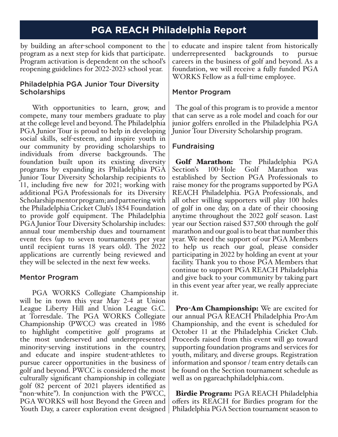# **PGA REACH Philadelphia Report**

by building an after-school component to the program as a next step for kids that participate. Program activation is dependent on the school's reopening guidelines for 2022-2023 school year.

#### Philadelphia PGA Junior Tour Diversity **Scholarships**

With opportunities to learn, grow, and compete, many tour members graduate to play at the college level and beyond. The Philadelphia PGA Junior Tour is proud to help in developing social skills, self-esteem, and inspire youth in our community by providing scholarships to individuals from diverse backgrounds. The foundation built upon its existing diversity programs by expanding its Philadelphia PGA Junior Tour Diversity Scholarship recipients to 11, including five new for 2021; working with additional PGA Professionals for its Diversity Scholarship mentor program; and partnering with the Philadelphia Cricket Club's 1854 Foundation to provide golf equipment. The Philadelphia PGA Junior Tour Diversity Scholarship includes: annual tour membership dues and tournament event fees (up to seven tournaments per year until recipient turns 18 years old). The 2022 applications are currently being reviewed and they will be selected in the next few weeks.

#### Mentor Program

PGA WORKS Collegiate Championship will be in town this year May 2-4 at Union League Liberty Hill and Union League G.C. at Torresdale. The PGA WORKS Collegiate Championship (PWCC) was created in 1986 to highlight competitive golf programs at the most underserved and underrepresented minority-serving institutions in the country, and educate and inspire student-athletes to pursue career opportunities in the business of golf and beyond. PWCC is considered the most culturally significant championship in collegiate golf (82 percent of 2021 players identified as "non-white"). In conjunction with the PWCC, PGA WORKS will host Beyond the Green and Youth Day, a career exploration event designed

to educate and inspire talent from historically underrepresented backgrounds to pursue careers in the business of golf and beyond. As a foundation, we will receive a fully funded PGA WORKS Fellow as a full-time employee.

#### Mentor Program

The goal of this program is to provide a mentor that can serve as a role model and coach for our junior golfers enrolled in the Philadelphia PGA Junior Tour Diversity Scholarship program.

#### Fundraising

Golf Marathon: The Philadelphia PGA Section's 100-Hole Golf Marathon was established by Section PGA Professionals to raise money for the programs supported by PGA REACH Philadelphia. PGA Professionals, and all other willing supporters will play 100 holes of golf in one day, on a date of their choosing anytime throughout the 2022 golf season. Last year our Section raised \$37,500 through the golf marathon and our goal is to beat that number this year. We need the support of our PGA Members to help us reach our goal, please consider participating in 2022 by holding an event at your facility. Thank you to those PGA Members that continue to support PGA REACH Philadelphia and give back to your community by taking part in this event year after year, we really appreciate it.

**Pro-Am Championship:** We are excited for our annual PGA REACH Philadelphia Pro-Am Championship, and the event is scheduled for October 11 at the Philadelphia Cricket Club. Proceeds raised from this event will go toward supporting foundation programs and services for youth, military, and diverse groups. Registration information and sponsor / team entry details can be found on the Section tournament schedule as well as on pgareachphiladelphia.com.

Birdie Program: PGA REACH Philadelphia offers its REACH for Birdies program for the Philadelphia PGA Section tournament season to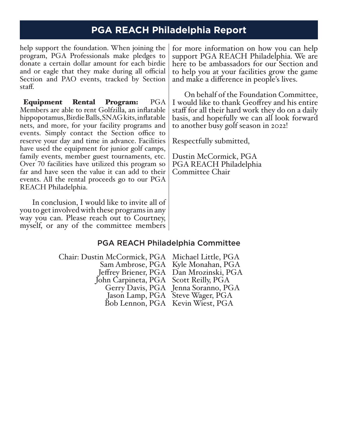# **PGA REACH Philadelphia Report**

help support the foundation. When joining the program, PGA Professionals make pledges to donate a certain dollar amount for each birdie and or eagle that they make during all official Section and PAO events, tracked by Section staff.

Equipment Rental Program: PGA Members are able to rent Golfzilla, an inflatable hippopotamus, Birdie Balls, SNAG kits, inflatable nets, and more, for your facility programs and events. Simply contact the Section office to reserve your day and time in advance. Facilities have used the equipment for junior golf camps, family events, member guest tournaments, etc. Over 70 facilities have utilized this program so far and have seen the value it can add to their events. All the rental proceeds go to our PGA REACH Philadelphia.

In conclusion, I would like to invite all of you to get involved with these programs in any way you can. Please reach out to Courtney, myself, or any of the committee members

for more information on how you can help support PGA REACH Philadelphia. We are here to be ambassadors for our Section and to help you at your facilities grow the game and make a difference in people's lives.

On behalf of the Foundation Committee, I would like to thank Geoffrey and his entire staff for all their hard work they do on a daily basis, and hopefully we can all look forward to another busy golf season in 2022!

Respectfully submitted,

Dustin McCormick, PGA PGA REACH Philadelphia Committee Chair

### PGA REACH Philadelphia Committee

| Chair: Dustin McCormick, PGA Michael Little, PGA |                                         |
|--------------------------------------------------|-----------------------------------------|
|                                                  | Sam Ambrose, PGA Kyle Monahan, PGA      |
|                                                  | Jeffrey Briener, PGA Dan Mrozinski, PGA |
| John Carpineta, PGA Scott Reilly, PGA            |                                         |
|                                                  | Gerry Davis, PGA Jenna Soranno, PGA     |
|                                                  | Jason Lamp, PGA Steve Wager, PGA        |
|                                                  | Bob Lennon, PGA Kevin Wiest, PGA        |
|                                                  |                                         |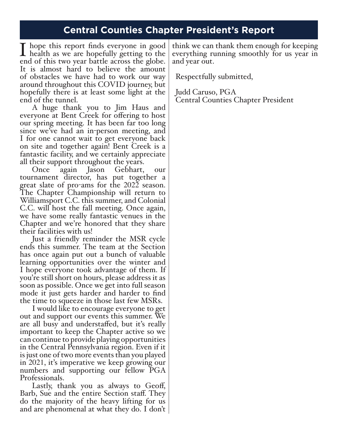# **Central Counties Chapter President's Report**

I hope this report finds everyone in good<br>health as we are hopefully getting to the<br>end of this two year battle across the globe end of this two year battle across the globe. It is almost hard to believe the amount of obstacles we have had to work our way around throughout this COVID journey, but hopefully there is at least some light at the end of the tunnel.

A huge thank you to Jim Haus and everyone at Bent Creek for offering to host our spring meeting. It has been far too long since we've had an in-person meeting, and I for one cannot wait to get everyone back on site and together again! Bent Creek is a fantastic facility, and we certainly appreciate

Once again Jason Gebhart, our tournament director, has put together a great slate of pro-ams for the 2022 season. The Chapter Championship will return to Williamsport C.C. this summer, and Colonial C.C. will host the fall meeting. Once again, we have some really fantastic venues in the Chapter and we're honored that they share their facilities with us!

Just a friendly reminder the MSR cycle ends this summer. The team at the Section has once again put out a bunch of valuable learning opportunities over the winter and I hope everyone took advantage of them. If you're still short on hours, please address it as soon as possible. Once we get into full season mode it just gets harder and harder to find

the time to squeeze in those last few MSRs.<br>I would like to encourage everyone to get out and support our events this summer. We are all busy and understaffed, but it's really important to keep the Chapter active so we can continue to provide playing opportunities in the Central Pennsylvania region. Even if it is just one of two more events than you played in 2021, it's imperative we keep growing our numbers and supporting our fellow PGA Professionals.

Lastly, thank you as always to Geoff, Barb, Sue and the entire Section staff. They do the majority of the heavy lifting for us and are phenomenal at what they do. I don't

think we can thank them enough for keeping everything running smoothly for us year in and year out.

Respectfully submitted,

Judd Caruso, PGA Central Counties Chapter President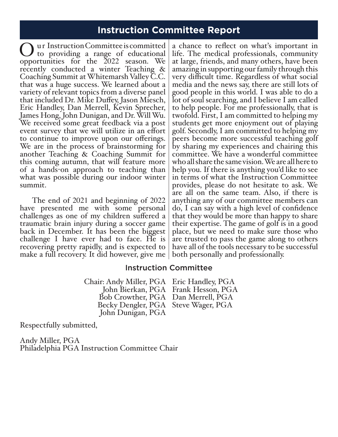### **Instruction Committee Report**

Ou r Instruction Committee is committed opportunities for the 2022 season. We to providing a range of educational recently conducted a winter Teaching & Coaching Summit at Whitemarsh Valley C.C. that was a huge success. We learned about a variety of relevant topics from a diverse panel that included Dr. Mike Duffey, Jason Miesch, Eric Handley, Dan Merrell, Kevin Sprecher, James Hong, John Dunigan, and Dr. Will Wu. We received some great feedback via a post event survey that we will utilize in an effort to continue to improve upon our offerings. We are in the process of brainstorming for another Teaching & Coaching Summit for this coming autumn, that will feature more of a hands-on approach to teaching than what was possible during our indoor winter summit.

The end of 2021 and beginning of 2022 have presented me with some personal challenges as one of my children suffered a traumatic brain injury during a soccer game back in December. It has been the biggest challenge I have ever had to face. He is recovering pretty rapidly, and is expected to make a full recovery. It did however, give me

a chance to reflect on what's important in life. The medical professionals, community at large, friends, and many others, have been amazing in supporting our family through this very difficult time. Regardless of what social media and the news say, there are still lots of good people in this world. I was able to do a lot of soul searching, and I believe I am called to help people. For me professionally, that is twofold. First, I am committed to helping my students get more enjoyment out of playing golf. Secondly, I am committed to helping my peers become more successful teaching golf by sharing my experiences and chairing this committee. We have a wonderful committee who all share the same vision. We are all here to help you. If there is anything you'd like to see in terms of what the Instruction Committee provides, please do not hesitate to ask. We are all on the same team. Also, if there is anything any of our committee members can do, I can say with a high level of confidence that they would be more than happy to share their expertise. The game of golf is in a good place, but we need to make sure those who are trusted to pass the game along to others have all of the tools necessary to be successful both personally and professionally.

#### Instruction Committee

Chair: Andy Miller, PGA Eric Handley, PGA<br>John Bierkan, PGA Frank Hesson, PGA Bob Crowther, PGA Dan Merrell, PGA Becky Dengler, PGA Steve Wager, PGA John Dunigan, PGA John Bierkan, PGA Frank Hesson, PGA

Respectfully submitted,

Andy Miller, PGA Philadelphia PGA Instruction Committee Chair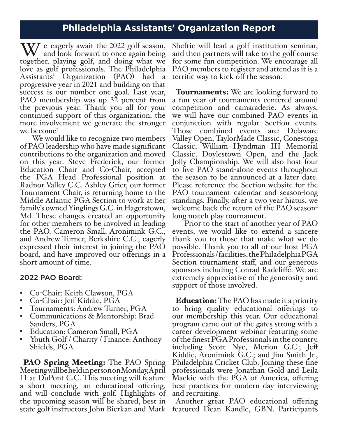### **Philadelphia Assistants' Organization Report**

We eagerly await the 2022 golf season,<br>together, playing golf, and doing what we together, playing golf, and doing what we love as golf professionals. The Philadelphia Assistants' Organization (PAO) had a progressive year in 2021 and building on that success is our number one goal. Last year, PAO membership was up 32 percent from the previous year. Thank you all for your continued support of this organization, the more involvement we generate the stronger we become!

We would like to recognize two members of PAO leadership who have made significant contributions to the organization and moved on this year. Steve Frederick, our former Education Chair and Co-Chair, accepted the PGA Head Professional position at Radnor Valley C.C. Ashley Grier, our former Tournament Chair, is returning home to the Middle Atlantic PGA Section to work at her family's owned Yinglings G.C. in Hagerstown, Md. These changes created an opportunity for other members to be involved in leading the PAO. Cameron Small, Aronimink G.C., and Andrew Turner, Berkshire C.C., eagerly expressed their interest in joining the PAO board, and have improved our offerings in a short amount of time.

#### 2022 PAO Board:

- 
- 
- 
- Co-Chair: Keith Clawson, PGA<br>• Co-Chair: Jeff Kiddie, PGA<br>• Tournaments: Andrew Turner, PGA<br>• Communications & Mentorship: Brad<br>Sanders, PGA
- 
- Education: Cameron Small, PGA<br>• Youth Golf / Charity / Finance: Anthony Shields, PGA

**PAO Spring Meeting:** The PAO Spring Meeting will be held in person on Monday, April 11 at DuPont C.C. This meeting will feature a short meeting, an educational offering, and will conclude with golf. Highlights of the upcoming season will be shared, best in state golf instructors John Bierkan and Mark

Sheftic will lead a golf institution seminar, and then partners will take to the golf course for some fun competition. We encourage all PAO members to register and attend as it is a terrific way to kick off the season.

**Tournaments:** We are looking forward to a fun year of tournaments centered around competition and camaraderie. As always, we will have our combined PAO events in conjunction with regular Section events. Those combined events are: Delaware Valley Open, TaylorMade Classic, Conestoga Classic, William Hyndman III Memorial Classic, Doylestown Open, and the Jack Jolly Championship. We will also host four to five PAO stand-alone events throughout the season to be announced at a later date. Please reference the Section website for the PAO tournament calendar and season-long standings. Finally, after a two year hiatus, we welcome back the return of the PAO seasonlong match play tournament.

Prior to the start of another year of PAO events, we would like to extend a sincere thank you to those that make what we do possible. Thank you to all of our host PGA Professionals / facilities, the Philadelphia PGA Section tournament staff, and our generous sponsors including Conrad Radcliffe. We are extremely appreciative of the generosity and support of those involved.

**Education:** The PAO has made it a priority to bring quality educational offerings to our membership this year. Our educational program came out of the gates strong with a career development webinar featuring some of the finest PGA Professionals in the country, including Scott Nye, Merion G.C.; Jeff Kiddie, Aronimink G.C.; and Jim Smith Jr., Philadelphia Cricket Club. Joining these fine professionals were Jonathan Gold and Leila Mackie with the PGA of America, offering best practices for modern day interviewing and recruiting.

Another great PAO educational offering featured Dean Kandle, GBN. Participants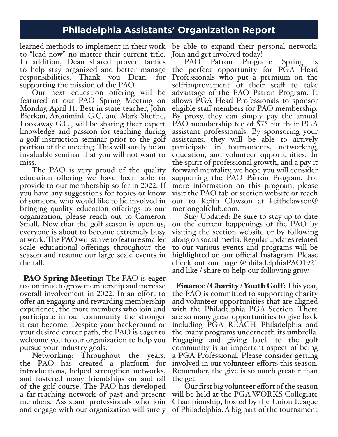### **Philadelphia Assistants' Organization Report**

learned methods to implement in their work to "lead now" no matter their current title. In addition, Dean shared proven tactics to help stay organized and better manage responsibilities. Thank you Dean, for supporting the mission of the PAO.

Our next education offering will be featured at our PAO Spring Meeting on Monday, April 11. Best in state teacher, John Bierkan, Aronimink G.C. and Mark Sheftic, Lookaway G.C., will be sharing their expert knowledge and passion for teaching during a golf instruction seminar prior to the golf portion of the meeting. This will surely be an invaluable seminar that you will not want to

miss.<br>The PAO is very proud of the quality education offering we have been able to provide to our membership so far in 2022. If you have any suggestions for topics or know of someone who would like to be involved in bringing quality education offerings to our organization, please reach out to Cameron Small. Now that the golf season is upon us, everyone is about to become extremely busy at work. The PAO will strive to feature smaller scale educational offerings throughout the season and resume our large scale events in the fall.

**PAO Spring Meeting:** The PAO is eager to continue to grow membership and increase overall involvement in 2022. In an effort to offer an engaging and rewarding membership experience, the more members who join and participate in our community the stronger it can become. Despite your background or your desired career path, the PAO is eager to welcome you to our organization to help you pursue your industry goals.

Networking: Throughout the years, the PAO has created a platform for introductions, helped strengthen networks, and fostered many friendships on and off of the golf course. The PAO has developed a far-reaching network of past and present members. Assistant professionals who join and engage with our organization will surely

be able to expand their personal network.

Join and get involved today!<br>PAO Patron Program: PAO Patron Program: Spring is the perfect opportunity for PGA Head Professionals who put a premium on the self-improvement of their staff to take advantage of the PAO Patron Program. It allows PGA Head Professionals to sponsor eligible staff members for PAO membership. By proxy, they can simply pay the annual PAO membership fee of \$75 for their PGA assistant professionals. By sponsoring your assistants, they will be able to actively participate in tournaments, networking, education, and volunteer opportunities. In the spirit of professional growth, and a pay it forward mentality, we hope you will consider supporting the PAO Patron Program. For more information on this program, please visit the PAO tab or section website or reach out to Keith Clawson at keithclawson@ meriongolfclub.com.

Stay Updated: Be sure to stay up to date on the current happenings of the PAO by visiting the section website or by following along on social media. Regular updates related to our various events and programs will be highlighted on our official Instagram. Please check out our page @philadelphiaPAO1921 and like / share to help our following grow.

Finance / Charity / Youth Golf: This year, the PAO is committed to supporting charity and volunteer opportunities that are aligned with the Philadelphia PGA Section. There are so many great opportunities to give back including PGA REACH Philadelphia and the many programs underneath its umbrella. Engaging and giving back to the golf community is an important aspect of being a PGA Professional. Please consider getting involved in our volunteer efforts this season. Remember, the give is so much greater than the get.

Our first big volunteer effort of the season will be held at the PGA WORKS Collegiate Championship, hosted by the Union League of Philadelphia. A big part of the tournament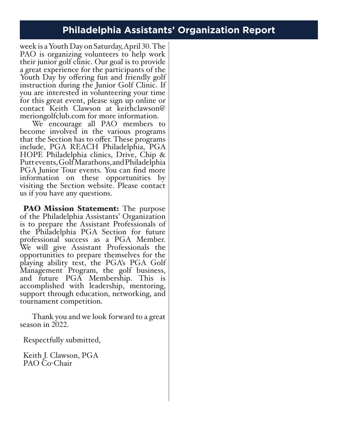# **Philadelphia Assistants' Organization Report**

week is a Youth Day on Saturday, April 30. The PAO is organizing volunteers to help work their junior golf clinic. Our goal is to provide a great experience for the participants of the Youth Day by offering fun and friendly golf instruction during the Junior Golf Clinic. If you are interested in volunteering your time for this great event, please sign up online or contact Keith Clawson at keithclawson@ meriongolfclub.com for more information.

We encourage all PAO members to become involved in the various programs that the Section has to offer. These programs include, PGA REACH Philadelphia, PGA HOPE Philadelphia clinics, Drive, Chip & Putt events, Golf Marathons, and Philadelphia PGA Junior Tour events. You can find more information on these opportunities by visiting the Section website. Please contact us if you have any questions.

**PAO Mission Statement:** The purpose of the Philadelphia Assistants' Organization is to prepare the Assistant Professionals of the Philadelphia PGA Section for future professional success as a PGA Member. We will give Assistant Professionals the opportunities to prepare themselves for the playing ability test, the PGA's PGA Golf Management Program, the golf business, and future PGA Membership. This is accomplished with leadership, mentoring, support through education, networking, and tournament competition.

Thank you and we look forward to a great season in 2022.

Respectfully submitted,

Keith J. Clawson, PGA PAO Co-Chair